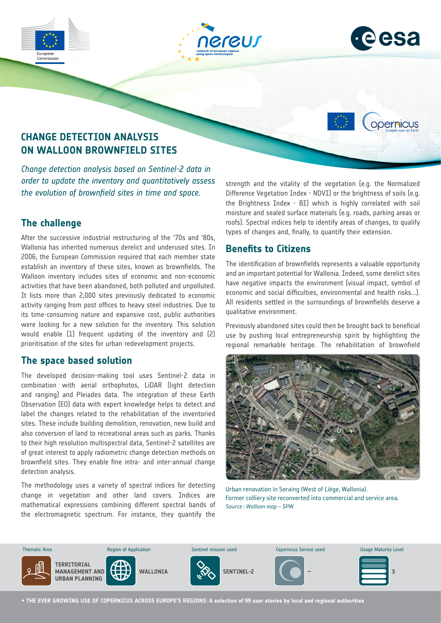





opernicus

# **CHANGE DETECTION ANALYSIS ON WALLOON BROWNFIELD SITES**

*Change detection analysis based on Sentinel-2 data in order to update the inventory and quantitatively assess the evolution of brownfield sites in time and space.*

## **The challenge**

After the successive industrial restructuring of the '70s and '80s, Wallonia has inherited numerous derelict and underused sites. In 2006, the European Commission required that each member state establish an inventory of these sites, known as brownfields. The Walloon inventory includes sites of economic and non-economic activities that have been abandoned, both polluted and unpolluted. It lists more than 2,000 sites previously dedicated to economic activity ranging from post offices to heavy steel industries. Due to its time-consuming nature and expansive cost, public authorities were looking for a new solution for the inventory. This solution would enable (1) frequent updating of the inventory and (2) prioritisation of the sites for urban redevelopment projects.

#### **The space based solution**

The developed decision-making tool uses Sentinel-2 data in combination with aerial orthophotos, LiDAR (light detection and ranging) and Pleiades data. The integration of these Earth Observation (EO) data with expert knowledge helps to detect and label the changes related to the rehabilitation of the inventoried sites. These include building demolition, renovation, new build and also conversion of land to recreational areas such as parks. Thanks to their high resolution multispectral data, Sentinel-2 satellites are of great interest to apply radiometric change detection methods on brownfield sites. They enable fine intra- and inter-annual change detection analysis.

the electromagnetic spectrum. For instance, they quantify the The methodology uses a variety of spectral indices for detecting change in vegetation and other land covers. Indices are mathematical expressions combining different spectral bands of

strength and the vitality of the vegetation (e.g. the Normalized Difference Vegetation Index - NDVI) or the brightness of soils (e.g. the Brightness Index - BI) which is highly correlated with soil moisture and sealed surface materials (e.g. roads, parking areas or roofs). Spectral indices help to identify areas of changes, to qualify types of changes and, finally, to quantify their extension.

### **Benefits to Citizens**

The identification of brownfields represents a valuable opportunity and an important potential for Wallonia. Indeed, some derelict sites have negative impacts the environment (visual impact, symbol of economic and social difficulties, environmental and health risks...). All residents settled in the surroundings of brownfields deserve a qualitative environment.

Previously abandoned sites could then be brought back to beneficial use by pushing local entrepreneurship spirit by highlighting the regional remarkable heritage. The rehabilitation of brownfield



Urban renovation in Seraing (West of Liège, Wallonia). Former colliery site reconverted into commercial and service area. *Source : Walloon map – SPW*



**→ THE EVER GROWING USE OF COPERNICUS ACROSS EUROPE'S REGIONS: A selection of 99 user stories by local and regional authorities**